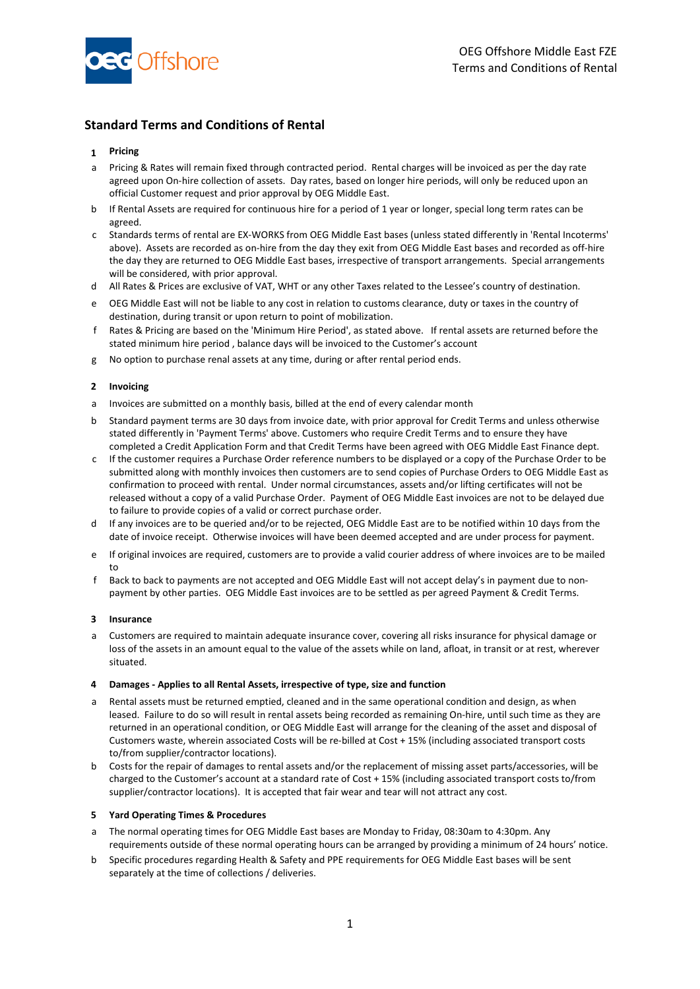

# **Standard Terms and Conditions of Rental**

## **1 Pricing**

- a Pricing & Rates will remain fixed through contracted period. Rental charges will be invoiced as per the day rate agreed upon On-hire collection of assets. Day rates, based on longer hire periods, will only be reduced upon an official Customer request and prior approval by OEG Middle East.
- b If Rental Assets are required for continuous hire for a period of 1 year or longer, special long term rates can be agreed.
- c Standards terms of rental are EX-WORKS from OEG Middle East bases (unless stated differently in 'Rental Incoterms' above). Assets are recorded as on-hire from the day they exit from OEG Middle East bases and recorded as off-hire the day they are returned to OEG Middle East bases, irrespective of transport arrangements. Special arrangements will be considered, with prior approval.
- d All Rates & Prices are exclusive of VAT, WHT or any other Taxes related to the Lessee's country of destination.
- e OEG Middle East will not be liable to any cost in relation to customs clearance, duty or taxes in the country of destination, during transit or upon return to point of mobilization.
- f Rates & Pricing are based on the 'Minimum Hire Period', as stated above. If rental assets are returned before the stated minimum hire period , balance days will be invoiced to the Customer's account
- g No option to purchase renal assets at any time, during or after rental period ends.

#### **2 Invoicing**

- a Invoices are submitted on a monthly basis, billed at the end of every calendar month
- b Standard payment terms are 30 days from invoice date, with prior approval for Credit Terms and unless otherwise stated differently in 'Payment Terms' above. Customers who require Credit Terms and to ensure they have completed a Credit Application Form and that Credit Terms have been agreed with OEG Middle East Finance dept.
- c If the customer requires a Purchase Order reference numbers to be displayed or a copy of the Purchase Order to be submitted along with monthly invoices then customers are to send copies of Purchase Orders to OEG Middle East as confirmation to proceed with rental. Under normal circumstances, assets and/or lifting certificates will not be released without a copy of a valid Purchase Order. Payment of OEG Middle East invoices are not to be delayed due to failure to provide copies of a valid or correct purchase order.
- d If any invoices are to be queried and/or to be rejected, OEG Middle East are to be notified within 10 days from the date of invoice receipt. Otherwise invoices will have been deemed accepted and are under process for payment.
- e If original invoices are required, customers are to provide a valid courier address of where invoices are to be mailed to
- f Back to back to payments are not accepted and OEG Middle East will not accept delay's in payment due to nonpayment by other parties. OEG Middle East invoices are to be settled as per agreed Payment & Credit Terms.

#### **3 Insurance**

a Customers are required to maintain adequate insurance cover, covering all risks insurance for physical damage or loss of the assets in an amount equal to the value of the assets while on land, afloat, in transit or at rest, wherever situated.

#### **4 Damages - Applies to all Rental Assets, irrespective of type, size and function**

- Rental assets must be returned emptied, cleaned and in the same operational condition and design, as when leased. Failure to do so will result in rental assets being recorded as remaining On-hire, until such time as they are returned in an operational condition, or OEG Middle East will arrange for the cleaning of the asset and disposal of Customers waste, wherein associated Costs will be re-billed at Cost + 15% (including associated transport costs to/from supplier/contractor locations).
- b Costs for the repair of damages to rental assets and/or the replacement of missing asset parts/accessories, will be charged to the Customer's account at a standard rate of Cost + 15% (including associated transport costs to/from supplier/contractor locations). It is accepted that fair wear and tear will not attract any cost.

#### **5 Yard Operating Times & Procedures**

- a The normal operating times for OEG Middle East bases are Monday to Friday, 08:30am to 4:30pm. Any requirements outside of these normal operating hours can be arranged by providing a minimum of 24 hours' notice.
- b Specific procedures regarding Health & Safety and PPE requirements for OEG Middle East bases will be sent separately at the time of collections / deliveries.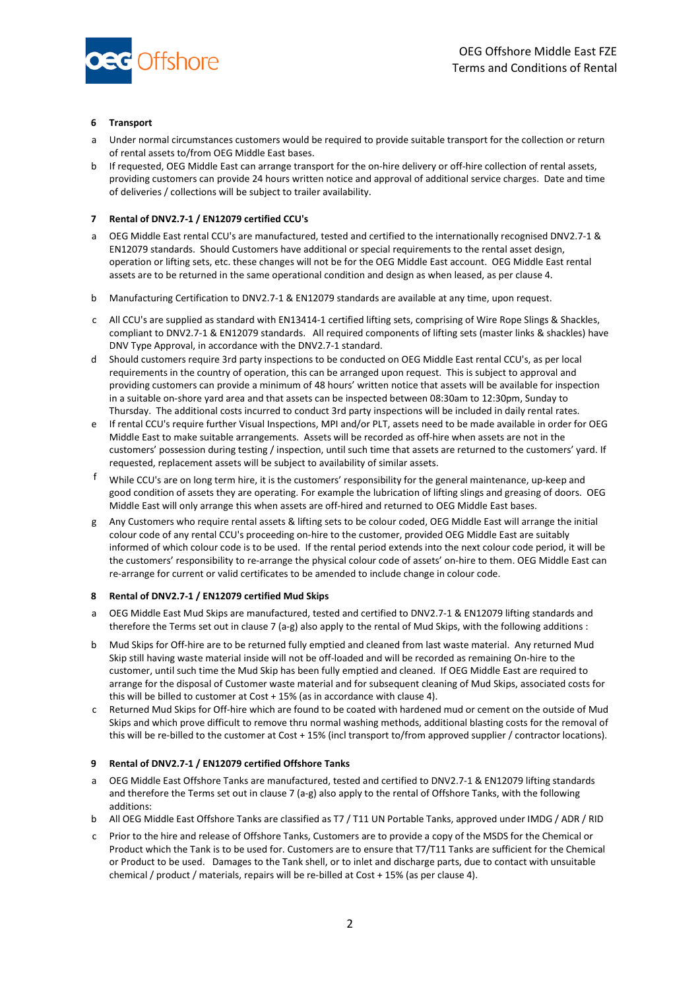

### **6 Transport**

- a Under normal circumstances customers would be required to provide suitable transport for the collection or return of rental assets to/from OEG Middle East bases.
- b If requested, OEG Middle East can arrange transport for the on-hire delivery or off-hire collection of rental assets, providing customers can provide 24 hours written notice and approval of additional service charges. Date and time of deliveries / collections will be subject to trailer availability.

### **7 Rental of DNV2.7-1 / EN12079 certified CCU's**

- a OEG Middle East rental CCU's are manufactured, tested and certified to the internationally recognised DNV2.7-1 & EN12079 standards. Should Customers have additional or special requirements to the rental asset design, operation or lifting sets, etc. these changes will not be for the OEG Middle East account. OEG Middle East rental assets are to be returned in the same operational condition and design as when leased, as per clause 4.
- b Manufacturing Certification to DNV2.7-1 & EN12079 standards are available at any time, upon request.
- c All CCU's are supplied as standard with EN13414-1 certified lifting sets, comprising of Wire Rope Slings & Shackles, compliant to DNV2.7-1 & EN12079 standards. All required components of lifting sets (master links & shackles) have DNV Type Approval, in accordance with the DNV2.7-1 standard.
- d Should customers require 3rd party inspections to be conducted on OEG Middle East rental CCU's, as per local requirements in the country of operation, this can be arranged upon request. This is subject to approval and providing customers can provide a minimum of 48 hours' written notice that assets will be available for inspection in a suitable on-shore yard area and that assets can be inspected between 08:30am to 12:30pm, Sunday to Thursday. The additional costs incurred to conduct 3rd party inspections will be included in daily rental rates.
- e If rental CCU's require further Visual Inspections, MPI and/or PLT, assets need to be made available in order for OEG Middle East to make suitable arrangements. Assets will be recorded as off-hire when assets are not in the customers' possession during testing / inspection, until such time that assets are returned to the customers' yard. If requested, replacement assets will be subject to availability of similar assets.
- f While CCU's are on long term hire, it is the customers' responsibility for the general maintenance, up-keep and good condition of assets they are operating. For example the lubrication of lifting slings and greasing of doors. OEG Middle East will only arrange this when assets are off-hired and returned to OEG Middle East bases.
- g Any Customers who require rental assets & lifting sets to be colour coded, OEG Middle East will arrange the initial colour code of any rental CCU's proceeding on-hire to the customer, provided OEG Middle East are suitably informed of which colour code is to be used. If the rental period extends into the next colour code period, it will be the customers' responsibility to re-arrange the physical colour code of assets' on-hire to them. OEG Middle East can re-arrange for current or valid certificates to be amended to include change in colour code.

#### **8 Rental of DNV2.7-1 / EN12079 certified Mud Skips**

- a OEG Middle East Mud Skips are manufactured, tested and certified to DNV2.7-1 & EN12079 lifting standards and therefore the Terms set out in clause 7 (a-g) also apply to the rental of Mud Skips, with the following additions :
- b Mud Skips for Off-hire are to be returned fully emptied and cleaned from last waste material. Any returned Mud Skip still having waste material inside will not be off-loaded and will be recorded as remaining On-hire to the customer, until such time the Mud Skip has been fully emptied and cleaned. If OEG Middle East are required to arrange for the disposal of Customer waste material and for subsequent cleaning of Mud Skips, associated costs for this will be billed to customer at Cost + 15% (as in accordance with clause 4).
- c Returned Mud Skips for Off-hire which are found to be coated with hardened mud or cement on the outside of Mud Skips and which prove difficult to remove thru normal washing methods, additional blasting costs for the removal of this will be re-billed to the customer at Cost + 15% (incl transport to/from approved supplier / contractor locations).

# **9 Rental of DNV2.7-1 / EN12079 certified Offshore Tanks**

- a OEG Middle East Offshore Tanks are manufactured, tested and certified to DNV2.7-1 & EN12079 lifting standards and therefore the Terms set out in clause 7 (a-g) also apply to the rental of Offshore Tanks, with the following additions:
- b All OEG Middle East Offshore Tanks are classified as T7 / T11 UN Portable Tanks, approved under IMDG / ADR / RID
- c Prior to the hire and release of Offshore Tanks, Customers are to provide a copy of the MSDS for the Chemical or Product which the Tank is to be used for. Customers are to ensure that T7/T11 Tanks are sufficient for the Chemical or Product to be used. Damages to the Tank shell, or to inlet and discharge parts, due to contact with unsuitable chemical / product / materials, repairs will be re-billed at Cost + 15% (as per clause 4).